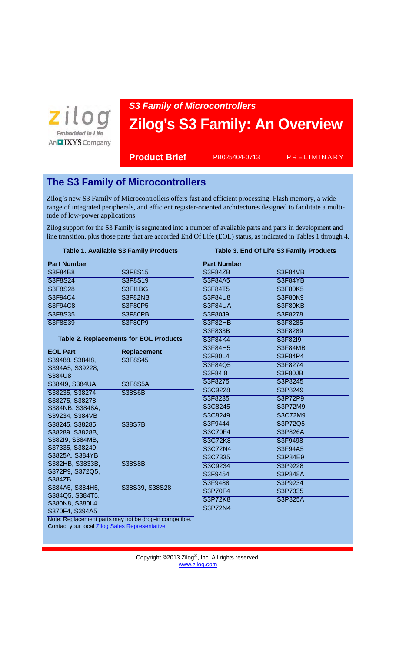

# *S3 Family of Microcontrollers* **Zilog's S3 Family: An Overview**

PB025404-0713

**Product Brief** PB025404-0713 PRELIMINARY

# **The S3 Family of Microcontrollers**

Zilog's new S3 Family of Microcontrollers offers fast and efficient processing, Flash memory, a wide range of integrated peripherals, and efficient register-oriented architectures designed to facilitate a multitude of low-power applications.

Zilog support for the S3 Family is segmented into a number of available parts and parts in development and line transition, plus those parts that are accorded End Of Life (EOL) status, as indicated in Tables 1 through 4.

#### **Table 1. Available S3 Family Products**

| <b>Part Number</b> |                |
|--------------------|----------------|
| S3F84B8            | <b>S3F8S15</b> |
| <b>S3F8S24</b>     | <b>S3F8S19</b> |
| <b>S3F8S28</b>     | S3FI1BG        |
| S3F94C4            | S3F82NB        |
| <b>S3F94C8</b>     | S3F80P5        |
| S3F8S35            | <b>S3F80PB</b> |
| S3F8S39            | S3F80P9        |

#### **Table 2. Replacements for EOL Products**

| <b>EOL Part</b>                                        | Replacement    |  |
|--------------------------------------------------------|----------------|--|
| S39488, S38418,                                        | S3F8S45        |  |
| S394A5, S39228,                                        |                |  |
| S384U8                                                 |                |  |
| S38419, S384UA                                         | <b>S3F8S5A</b> |  |
| S38235, S38274,                                        | S38S6B         |  |
| S38275, S38278,                                        |                |  |
| S384NB, S3848A,                                        |                |  |
| S39234, S384VB                                         |                |  |
| S38245, S38285,                                        | <b>S38S7B</b>  |  |
| S38289, S3828B,                                        |                |  |
| S382I9, S384MB,                                        |                |  |
| S37335, S38249,                                        |                |  |
| S3825A, S384YB                                         |                |  |
| S382HB, S3833B,                                        | S38S8B         |  |
| S372P9, S372Q5,                                        |                |  |
| S384ZB                                                 |                |  |
| S384A5, S384H5,                                        | S38S39, S38S28 |  |
| S384Q5, S384T5,                                        |                |  |
| S380N8, S380L4,                                        |                |  |
| S370F4, S394A5                                         |                |  |
| Note: Replacement parts may not be drop-in compatible. |                |  |
| Contact your local Zilog Sales Representative.         |                |  |

## **Table 3. End Of Life S3 Family Products**

| S3F84ZB<br>S3F84VB<br>S3F84A5<br>S3F84YB<br>S3F84T5<br>S3F80K5<br>S3F84U8<br>S3F80K9<br>S3F84UA<br>S3F80KB<br>S3F80J9<br>S3F8278<br>S3F82HB<br>S3F8285<br>S3F833B<br>S3F8289<br>S3F84K4<br>S3F82I9<br>S3F84H5<br>S3F84MB<br>S3F80L4<br>S3F84P4<br>S3F84Q5<br>S3F8274<br>S3F8418<br>S3F80JB<br>S3F8275<br>S3P8245<br>S3C9228<br>S3P8249<br>S3F8235<br>S3P72P9<br>S3C8245<br>S3P72M9<br>S3C8249<br>S3C72M9<br>S3F9444<br>S3P72Q5<br>S3C70F4<br><b>S3P826A</b><br>S3C72K8<br>S3F9498<br>S3C72N4<br>S3F94A5<br>S3C7335<br>S3P84E9<br>S3C9234<br>S3P9228<br>S3F9454<br>S3P848A<br>S3F9488<br>S3P9234<br>S3P70F4<br>S3P7335<br>S3P72K8<br>S3P825A<br>S3P72N4 | <b>Part Number</b> |  |
|--------------------------------------------------------------------------------------------------------------------------------------------------------------------------------------------------------------------------------------------------------------------------------------------------------------------------------------------------------------------------------------------------------------------------------------------------------------------------------------------------------------------------------------------------------------------------------------------------------------------------------------------------------|--------------------|--|
|                                                                                                                                                                                                                                                                                                                                                                                                                                                                                                                                                                                                                                                        |                    |  |
|                                                                                                                                                                                                                                                                                                                                                                                                                                                                                                                                                                                                                                                        |                    |  |
|                                                                                                                                                                                                                                                                                                                                                                                                                                                                                                                                                                                                                                                        |                    |  |
|                                                                                                                                                                                                                                                                                                                                                                                                                                                                                                                                                                                                                                                        |                    |  |
|                                                                                                                                                                                                                                                                                                                                                                                                                                                                                                                                                                                                                                                        |                    |  |
|                                                                                                                                                                                                                                                                                                                                                                                                                                                                                                                                                                                                                                                        |                    |  |
|                                                                                                                                                                                                                                                                                                                                                                                                                                                                                                                                                                                                                                                        |                    |  |
|                                                                                                                                                                                                                                                                                                                                                                                                                                                                                                                                                                                                                                                        |                    |  |
|                                                                                                                                                                                                                                                                                                                                                                                                                                                                                                                                                                                                                                                        |                    |  |
|                                                                                                                                                                                                                                                                                                                                                                                                                                                                                                                                                                                                                                                        |                    |  |
|                                                                                                                                                                                                                                                                                                                                                                                                                                                                                                                                                                                                                                                        |                    |  |
|                                                                                                                                                                                                                                                                                                                                                                                                                                                                                                                                                                                                                                                        |                    |  |
|                                                                                                                                                                                                                                                                                                                                                                                                                                                                                                                                                                                                                                                        |                    |  |
|                                                                                                                                                                                                                                                                                                                                                                                                                                                                                                                                                                                                                                                        |                    |  |
|                                                                                                                                                                                                                                                                                                                                                                                                                                                                                                                                                                                                                                                        |                    |  |
|                                                                                                                                                                                                                                                                                                                                                                                                                                                                                                                                                                                                                                                        |                    |  |
|                                                                                                                                                                                                                                                                                                                                                                                                                                                                                                                                                                                                                                                        |                    |  |
|                                                                                                                                                                                                                                                                                                                                                                                                                                                                                                                                                                                                                                                        |                    |  |
|                                                                                                                                                                                                                                                                                                                                                                                                                                                                                                                                                                                                                                                        |                    |  |
|                                                                                                                                                                                                                                                                                                                                                                                                                                                                                                                                                                                                                                                        |                    |  |
|                                                                                                                                                                                                                                                                                                                                                                                                                                                                                                                                                                                                                                                        |                    |  |
|                                                                                                                                                                                                                                                                                                                                                                                                                                                                                                                                                                                                                                                        |                    |  |
|                                                                                                                                                                                                                                                                                                                                                                                                                                                                                                                                                                                                                                                        |                    |  |
|                                                                                                                                                                                                                                                                                                                                                                                                                                                                                                                                                                                                                                                        |                    |  |
|                                                                                                                                                                                                                                                                                                                                                                                                                                                                                                                                                                                                                                                        |                    |  |
|                                                                                                                                                                                                                                                                                                                                                                                                                                                                                                                                                                                                                                                        |                    |  |
|                                                                                                                                                                                                                                                                                                                                                                                                                                                                                                                                                                                                                                                        |                    |  |
|                                                                                                                                                                                                                                                                                                                                                                                                                                                                                                                                                                                                                                                        |                    |  |
|                                                                                                                                                                                                                                                                                                                                                                                                                                                                                                                                                                                                                                                        |                    |  |